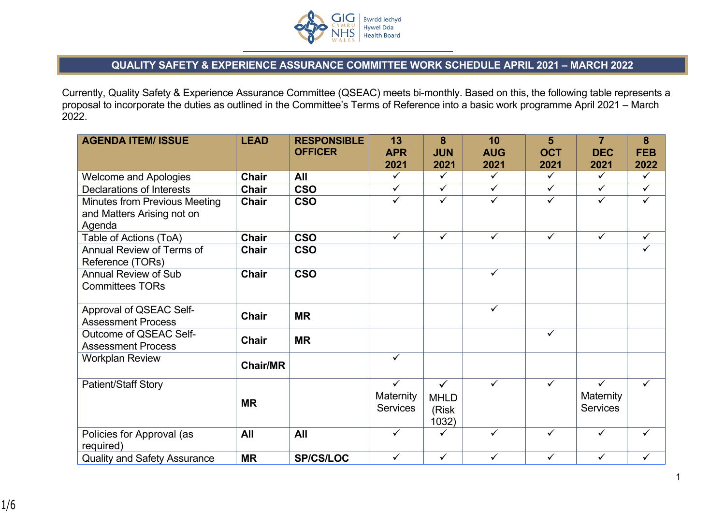

## **QUALITY SAFETY & EXPERIENCE ASSURANCE COMMITTEE WORK SCHEDULE APRIL 2021 – MARCH 2022**

Currently, Quality Safety & Experience Assurance Committee (QSEAC) meets bi-monthly. Based on this, the following table represents a proposal to incorporate the duties as outlined in the Committee's Terms of Reference into a basic work programme April 2021 – March 2022.

| <b>AGENDA ITEM/ ISSUE</b>                                                    | <b>LEAD</b>     | <b>RESPONSIBLE</b><br><b>OFFICER</b> | 13<br><b>APR</b>                      | 8<br><b>JUN</b>                               | 10<br><b>AUG</b> | 5<br><b>OCT</b> | 7<br><b>DEC</b>                                     | 8<br><b>FEB</b> |
|------------------------------------------------------------------------------|-----------------|--------------------------------------|---------------------------------------|-----------------------------------------------|------------------|-----------------|-----------------------------------------------------|-----------------|
|                                                                              |                 |                                      | 2021                                  | 2021                                          | 2021             | 2021            | 2021                                                | 2022            |
| <b>Welcome and Apologies</b>                                                 | <b>Chair</b>    | All                                  | $\checkmark$                          | $\checkmark$                                  | $\checkmark$     | $\checkmark$    | $\checkmark$                                        | $\checkmark$    |
| <b>Declarations of Interests</b>                                             | Chair           | <b>CSO</b>                           | $\checkmark$                          | $\checkmark$                                  | $\checkmark$     | $\checkmark$    | $\checkmark$                                        | $\checkmark$    |
| <b>Minutes from Previous Meeting</b><br>and Matters Arising not on<br>Agenda | Chair           | <b>CSO</b>                           | $\checkmark$                          | $\checkmark$                                  | $\checkmark$     | $\checkmark$    | $\checkmark$                                        | $\checkmark$    |
| Table of Actions (ToA)                                                       | <b>Chair</b>    | <b>CSO</b>                           | $\checkmark$                          | $\checkmark$                                  | $\sqrt{}$        | $\checkmark$    | $\checkmark$                                        | $\checkmark$    |
| Annual Review of Terms of<br>Reference (TORs)                                | <b>Chair</b>    | <b>CSO</b>                           |                                       |                                               |                  |                 |                                                     | $\checkmark$    |
| <b>Annual Review of Sub</b><br><b>Committees TORs</b>                        | Chair           | <b>CSO</b>                           |                                       |                                               | $\checkmark$     |                 |                                                     |                 |
| Approval of QSEAC Self-<br><b>Assessment Process</b>                         | <b>Chair</b>    | <b>MR</b>                            |                                       |                                               | $\checkmark$     |                 |                                                     |                 |
| Outcome of QSEAC Self-<br><b>Assessment Process</b>                          | <b>Chair</b>    | <b>MR</b>                            |                                       |                                               |                  | ✓               |                                                     |                 |
| <b>Workplan Review</b>                                                       | <b>Chair/MR</b> |                                      | $\checkmark$                          |                                               |                  |                 |                                                     |                 |
| <b>Patient/Staff Story</b>                                                   | <b>MR</b>       |                                      | $\checkmark$<br>Maternity<br>Services | $\checkmark$<br><b>MHLD</b><br>(Risk<br>1032) | $\checkmark$     | $\checkmark$    | $\checkmark$<br><b>Maternity</b><br><b>Services</b> | ✓               |
| Policies for Approval (as<br>required)                                       | All             | All                                  | $\checkmark$                          | ✓                                             | $\checkmark$     | $\checkmark$    | $\checkmark$                                        | ✓               |
| <b>Quality and Safety Assurance</b>                                          | <b>MR</b>       | <b>SP/CS/LOC</b>                     | $\checkmark$                          | ✓                                             | ✓                | ✓               | ✓                                                   | ✓               |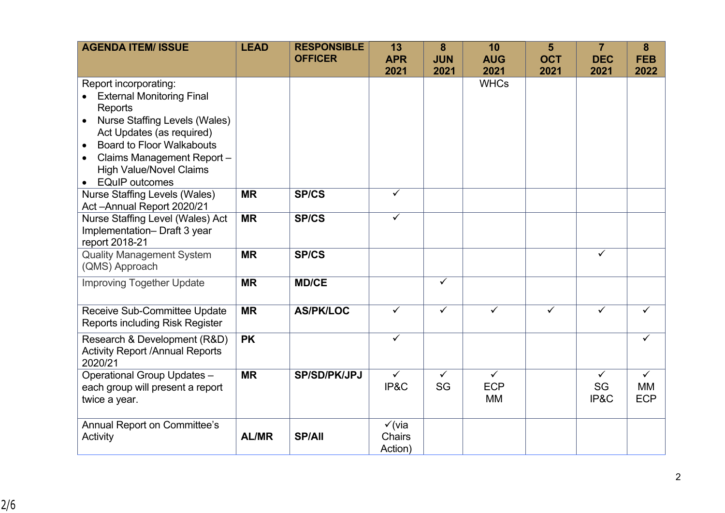| <b>AGENDA ITEM/ ISSUE</b>                                                                                                                                                                                                                                                          | <b>LEAD</b>  | <b>RESPONSIBLE</b><br><b>OFFICER</b> | 13<br><b>APR</b>                       | 8<br><b>JUN</b>         | 10<br><b>AUG</b>                        | 5<br><b>OCT</b> | $\overline{7}$<br><b>DEC</b> | 8<br><b>FEB</b>                  |
|------------------------------------------------------------------------------------------------------------------------------------------------------------------------------------------------------------------------------------------------------------------------------------|--------------|--------------------------------------|----------------------------------------|-------------------------|-----------------------------------------|-----------------|------------------------------|----------------------------------|
|                                                                                                                                                                                                                                                                                    |              |                                      | 2021                                   | 2021                    | 2021                                    | 2021            | 2021                         | 2022                             |
| Report incorporating:<br><b>External Monitoring Final</b><br>Reports<br><b>Nurse Staffing Levels (Wales)</b><br>Act Updates (as required)<br><b>Board to Floor Walkabouts</b><br>$\bullet$<br>Claims Management Report-<br><b>High Value/Novel Claims</b><br><b>EQuIP</b> outcomes |              |                                      |                                        |                         | <b>WHCs</b>                             |                 |                              |                                  |
| <b>Nurse Staffing Levels (Wales)</b><br>Act-Annual Report 2020/21                                                                                                                                                                                                                  | <b>MR</b>    | <b>SP/CS</b>                         | $\checkmark$                           |                         |                                         |                 |                              |                                  |
| Nurse Staffing Level (Wales) Act<br>Implementation-Draft 3 year<br>report 2018-21                                                                                                                                                                                                  | <b>MR</b>    | <b>SP/CS</b>                         | $\checkmark$                           |                         |                                         |                 |                              |                                  |
| <b>Quality Management System</b><br>(QMS) Approach                                                                                                                                                                                                                                 | <b>MR</b>    | <b>SP/CS</b>                         |                                        |                         |                                         |                 | $\checkmark$                 |                                  |
| <b>Improving Together Update</b>                                                                                                                                                                                                                                                   | <b>MR</b>    | <b>MD/CE</b>                         |                                        | $\checkmark$            |                                         |                 |                              |                                  |
| Receive Sub-Committee Update<br><b>Reports including Risk Register</b>                                                                                                                                                                                                             | <b>MR</b>    | <b>AS/PK/LOC</b>                     | $\overline{\checkmark}$                | $\overline{\checkmark}$ | $\checkmark$                            | $\checkmark$    | $\checkmark$                 |                                  |
| Research & Development (R&D)<br><b>Activity Report /Annual Reports</b><br>2020/21                                                                                                                                                                                                  | <b>PK</b>    |                                      | $\checkmark$                           |                         |                                         |                 |                              | $\checkmark$                     |
| Operational Group Updates -<br>each group will present a report<br>twice a year.                                                                                                                                                                                                   | <b>MR</b>    | <b>SP/SD/PK/JPJ</b>                  | $\checkmark$<br>IP&C                   | $\checkmark$<br>SG      | $\checkmark$<br><b>ECP</b><br><b>MM</b> |                 | $\checkmark$<br>SG<br>IP&C   | $\checkmark$<br>MМ<br><b>ECP</b> |
| <b>Annual Report on Committee's</b><br>Activity                                                                                                                                                                                                                                    | <b>AL/MR</b> | <b>SP/All</b>                        | $\checkmark$ (via<br>Chairs<br>Action) |                         |                                         |                 |                              |                                  |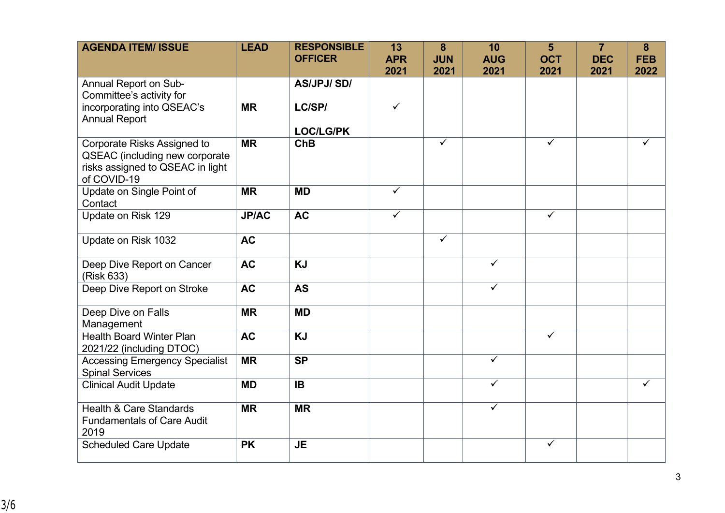| <b>AGENDA ITEM/ ISSUE</b>                                                                                               | <b>LEAD</b>  | <b>RESPONSIBLE</b> | 13                 | 8                  | 10                      | 5                  | $\overline{7}$     | 8                  |
|-------------------------------------------------------------------------------------------------------------------------|--------------|--------------------|--------------------|--------------------|-------------------------|--------------------|--------------------|--------------------|
|                                                                                                                         |              | <b>OFFICER</b>     | <b>APR</b><br>2021 | <b>JUN</b><br>2021 | <b>AUG</b><br>2021      | <b>OCT</b><br>2021 | <b>DEC</b><br>2021 | <b>FEB</b><br>2022 |
| Annual Report on Sub-<br>Committee's activity for                                                                       |              | <b>AS/JPJ/SD/</b>  |                    |                    |                         |                    |                    |                    |
| incorporating into QSEAC's<br><b>Annual Report</b>                                                                      | <b>MR</b>    | LC/SP/             | $\checkmark$       |                    |                         |                    |                    |                    |
|                                                                                                                         |              | <b>LOC/LG/PK</b>   |                    |                    |                         |                    |                    |                    |
| <b>Corporate Risks Assigned to</b><br>QSEAC (including new corporate<br>risks assigned to QSEAC in light<br>of COVID-19 | <b>MR</b>    | ChB                |                    | $\checkmark$       |                         | $\checkmark$       |                    | ✓                  |
| Update on Single Point of<br>Contact                                                                                    | <b>MR</b>    | <b>MD</b>          | $\checkmark$       |                    |                         |                    |                    |                    |
| Update on Risk 129                                                                                                      | <b>JP/AC</b> | <b>AC</b>          | $\checkmark$       |                    |                         | $\checkmark$       |                    |                    |
| Update on Risk 1032                                                                                                     | <b>AC</b>    |                    |                    | $\checkmark$       |                         |                    |                    |                    |
| Deep Dive Report on Cancer<br>(Risk 633)                                                                                | <b>AC</b>    | <b>KJ</b>          |                    |                    | $\overline{\checkmark}$ |                    |                    |                    |
| Deep Dive Report on Stroke                                                                                              | <b>AC</b>    | <b>AS</b>          |                    |                    | $\overline{\checkmark}$ |                    |                    |                    |
| Deep Dive on Falls<br>Management                                                                                        | <b>MR</b>    | <b>MD</b>          |                    |                    |                         |                    |                    |                    |
| <b>Health Board Winter Plan</b><br>2021/22 (including DTOC)                                                             | <b>AC</b>    | <b>KJ</b>          |                    |                    |                         | $\checkmark$       |                    |                    |
| <b>Accessing Emergency Specialist</b><br><b>Spinal Services</b>                                                         | <b>MR</b>    | <b>SP</b>          |                    |                    | $\overline{\checkmark}$ |                    |                    |                    |
| <b>Clinical Audit Update</b>                                                                                            | <b>MD</b>    | <b>IB</b>          |                    |                    | $\checkmark$            |                    |                    | ✓                  |
| <b>Health &amp; Care Standards</b><br><b>Fundamentals of Care Audit</b><br>2019                                         | <b>MR</b>    | <b>MR</b>          |                    |                    | $\checkmark$            |                    |                    |                    |
| <b>Scheduled Care Update</b>                                                                                            | <b>PK</b>    | <b>JE</b>          |                    |                    |                         | $\checkmark$       |                    |                    |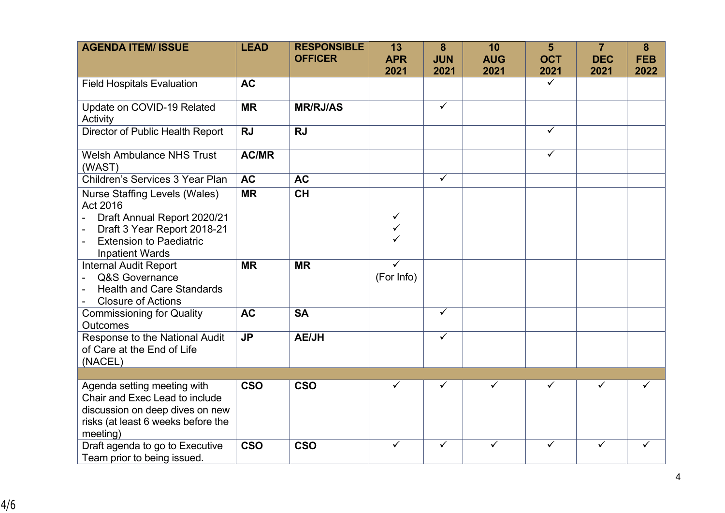| <b>AGENDA ITEM/ ISSUE</b>                                                                                                                                                                                                | <b>LEAD</b>  | <b>RESPONSIBLE</b><br><b>OFFICER</b> | 13<br><b>APR</b><br>2021 | 8<br><b>JUN</b><br>2021 | 10<br><b>AUG</b><br>2021 | 5<br><b>OCT</b><br>2021 | $\overline{7}$<br><b>DEC</b><br>2021 | 8<br><b>FEB</b><br>2022 |
|--------------------------------------------------------------------------------------------------------------------------------------------------------------------------------------------------------------------------|--------------|--------------------------------------|--------------------------|-------------------------|--------------------------|-------------------------|--------------------------------------|-------------------------|
| <b>Field Hospitals Evaluation</b>                                                                                                                                                                                        | <b>AC</b>    |                                      |                          |                         |                          | $\checkmark$            |                                      |                         |
| Update on COVID-19 Related<br>Activity                                                                                                                                                                                   | <b>MR</b>    | <b>MR/RJ/AS</b>                      |                          | $\overline{\checkmark}$ |                          |                         |                                      |                         |
| Director of Public Health Report                                                                                                                                                                                         | <b>RJ</b>    | <b>RJ</b>                            |                          |                         |                          | $\checkmark$            |                                      |                         |
| <b>Welsh Ambulance NHS Trust</b><br>(WAST)                                                                                                                                                                               | <b>AC/MR</b> |                                      |                          |                         |                          | $\checkmark$            |                                      |                         |
| Children's Services 3 Year Plan                                                                                                                                                                                          | <b>AC</b>    | <b>AC</b>                            |                          | $\checkmark$            |                          |                         |                                      |                         |
| <b>Nurse Staffing Levels (Wales)</b><br>Act 2016<br>Draft Annual Report 2020/21<br>$\overline{\phantom{0}}$<br>Draft 3 Year Report 2018-21<br><b>Extension to Paediatric</b><br>$\blacksquare$<br><b>Inpatient Wards</b> | <b>MR</b>    | <b>CH</b>                            | $\checkmark$<br>✓        |                         |                          |                         |                                      |                         |
| <b>Internal Audit Report</b><br>Q&S Governance<br><b>Health and Care Standards</b><br><b>Closure of Actions</b>                                                                                                          | <b>MR</b>    | <b>MR</b>                            | ✓<br>(For Info)          |                         |                          |                         |                                      |                         |
| <b>Commissioning for Quality</b><br><b>Outcomes</b>                                                                                                                                                                      | <b>AC</b>    | <b>SA</b>                            |                          | $\checkmark$            |                          |                         |                                      |                         |
| Response to the National Audit<br>of Care at the End of Life<br>(NACEL)                                                                                                                                                  | <b>JP</b>    | <b>AE/JH</b>                         |                          | $\checkmark$            |                          |                         |                                      |                         |
|                                                                                                                                                                                                                          |              |                                      |                          |                         |                          |                         |                                      |                         |
| Agenda setting meeting with<br>Chair and Exec Lead to include<br>discussion on deep dives on new<br>risks (at least 6 weeks before the<br>meeting)                                                                       | <b>CSO</b>   | <b>CSO</b>                           | $\checkmark$             | $\checkmark$            | ✓                        | $\checkmark$            | ✓                                    | ✓                       |
| Draft agenda to go to Executive<br>Team prior to being issued.                                                                                                                                                           | <b>CSO</b>   | <b>CSO</b>                           | $\checkmark$             | $\checkmark$            | ✓                        | ✓                       | ✓                                    | ✓                       |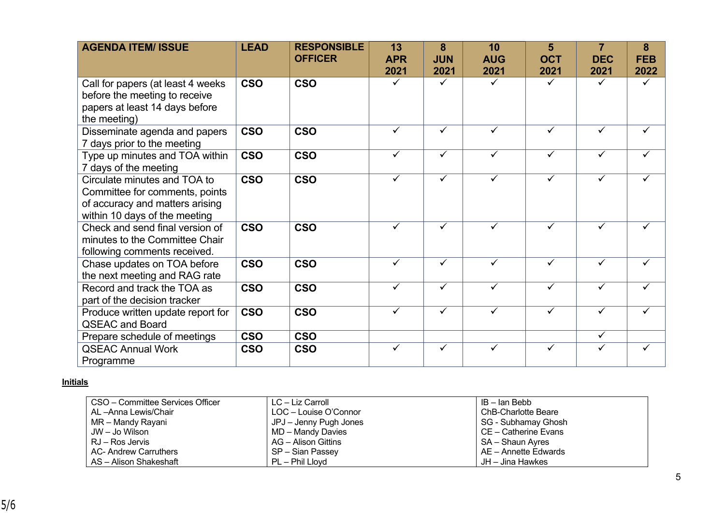| <b>AGENDA ITEM/ ISSUE</b>                                                                                                          | <b>LEAD</b> | <b>RESPONSIBLE</b><br><b>OFFICER</b> | 13<br><b>APR</b><br>2021 | 8<br><b>JUN</b><br>2021 | 10<br><b>AUG</b><br>2021 | 5<br><b>OCT</b><br>2021 | $\overline{7}$<br><b>DEC</b><br>2021 | 8<br><b>FEB</b><br>2022 |
|------------------------------------------------------------------------------------------------------------------------------------|-------------|--------------------------------------|--------------------------|-------------------------|--------------------------|-------------------------|--------------------------------------|-------------------------|
| Call for papers (at least 4 weeks<br>before the meeting to receive<br>papers at least 14 days before<br>the meeting)               | <b>CSO</b>  | <b>CSO</b>                           |                          | $\checkmark$            |                          | ✓                       |                                      | ✓                       |
| Disseminate agenda and papers<br>7 days prior to the meeting                                                                       | <b>CSO</b>  | <b>CSO</b>                           | ✓                        | $\checkmark$            | $\checkmark$             | $\checkmark$            | $\checkmark$                         |                         |
| Type up minutes and TOA within<br>7 days of the meeting                                                                            | <b>CSO</b>  | <b>CSO</b>                           | ✓                        | $\checkmark$            |                          | ✓                       | ✓                                    |                         |
| Circulate minutes and TOA to<br>Committee for comments, points<br>of accuracy and matters arising<br>within 10 days of the meeting | <b>CSO</b>  | <b>CSO</b>                           | ✓                        | $\checkmark$            |                          | ✓                       | $\checkmark$                         |                         |
| Check and send final version of<br>minutes to the Committee Chair<br>following comments received.                                  | <b>CSO</b>  | <b>CSO</b>                           | $\checkmark$             | $\checkmark$            |                          | ✓                       | ✓                                    |                         |
| Chase updates on TOA before<br>the next meeting and RAG rate                                                                       | <b>CSO</b>  | <b>CSO</b>                           | ✓                        | $\checkmark$            |                          | ✓                       | ✓                                    |                         |
| Record and track the TOA as<br>part of the decision tracker                                                                        | <b>CSO</b>  | <b>CSO</b>                           | ✓                        | $\checkmark$            | ✓                        | ✓                       | $\checkmark$                         |                         |
| Produce written update report for<br><b>QSEAC and Board</b>                                                                        | <b>CSO</b>  | <b>CSO</b>                           | ✓                        | $\checkmark$            | ✓                        | ✓                       | $\checkmark$                         |                         |
| Prepare schedule of meetings                                                                                                       | <b>CSO</b>  | <b>CSO</b>                           |                          |                         |                          |                         | $\checkmark$                         |                         |
| <b>QSEAC Annual Work</b><br>Programme                                                                                              | <b>CSO</b>  | <b>CSO</b>                           | ✓                        | $\checkmark$            |                          | ✓                       | ✓                                    | ✓                       |

## **Initials**

| CSO – Committee Services Officer | LC – Liz Carroll       | IB – Ian Bebb              |
|----------------------------------|------------------------|----------------------------|
| AL –Anna Lewis/Chair             | LOC - Louise O'Connor  | <b>ChB-Charlotte Beare</b> |
| MR – Mandy Rayani                | JPJ – Jenny Pugh Jones | SG - Subhamay Ghosh        |
| JW – Jo Wilson                   | MD - Mandy Davies      | CE – Catherine Evans       |
| RJ – Ros Jervis                  | AG – Alison Gittins    | SA - Shaun Ayres           |
| AC- Andrew Carruthers            | SP – Sian Passey       | AE – Annette Edwards       |
| AS - Alison Shakeshaft           | PL – Phil Llovd        | JH – Jina Hawkes           |